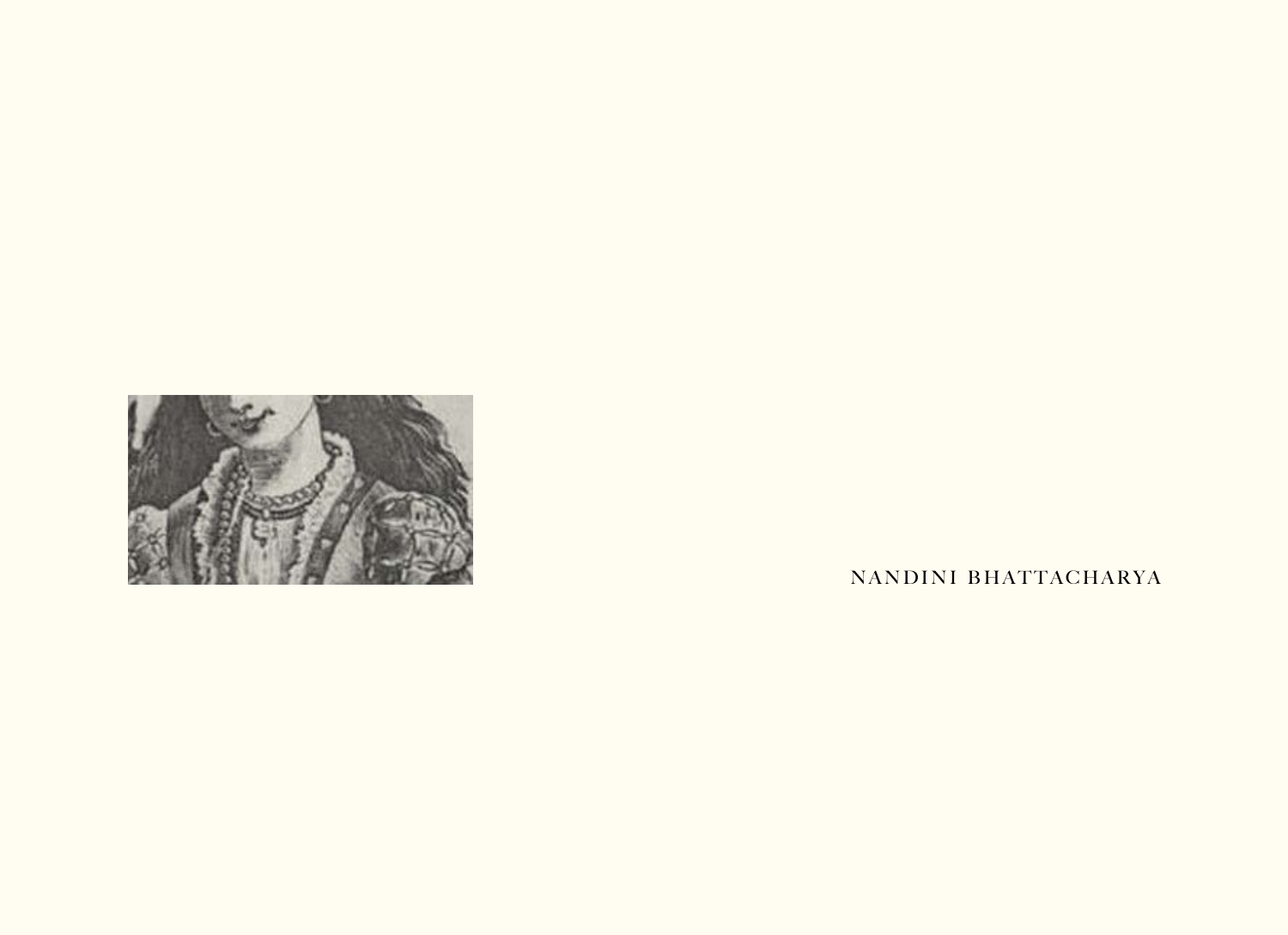

NANDINI BHATTACHARYA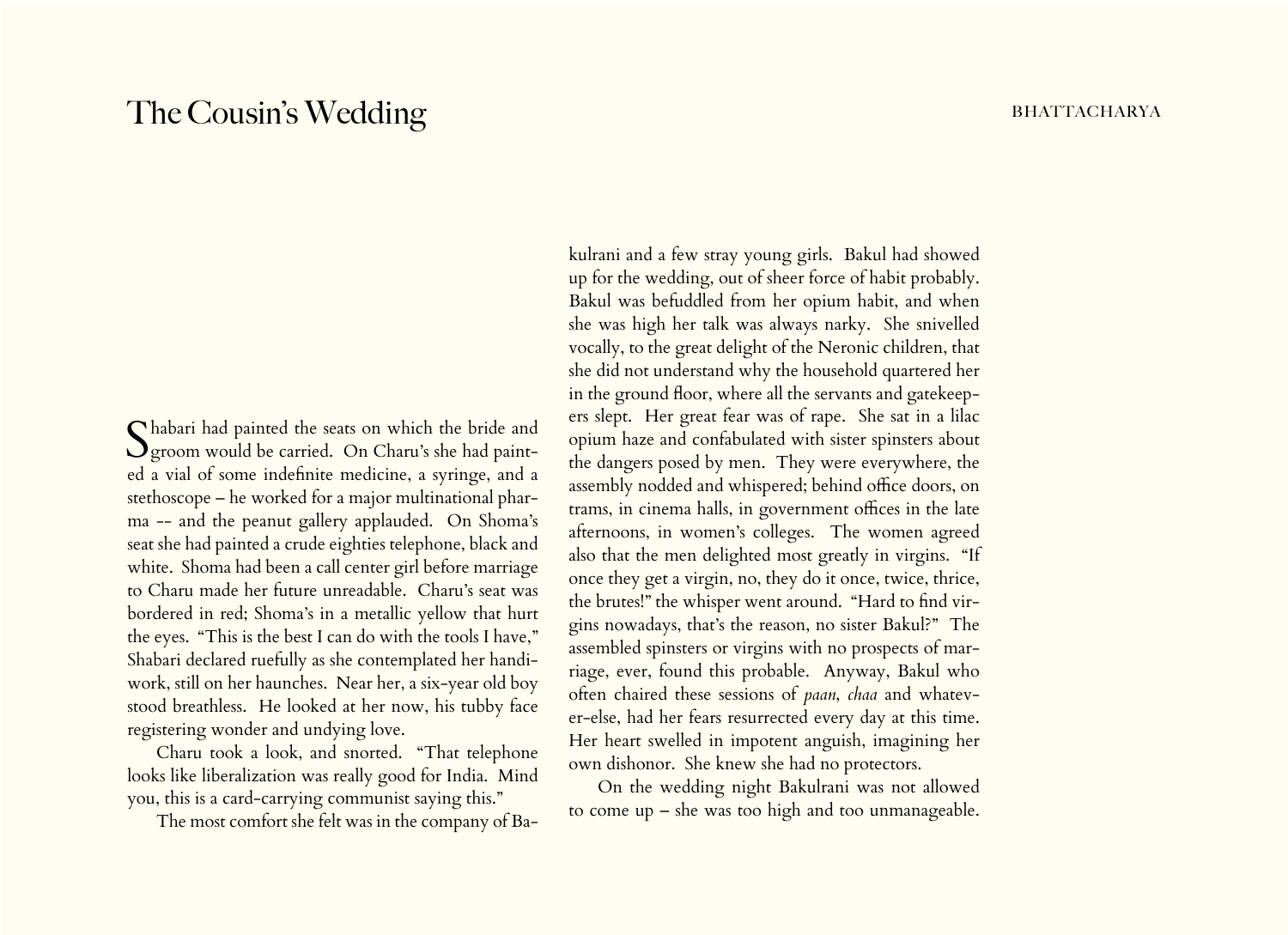## The Cousin's Wedding bhattacharya bhattacharya

Shabari had painted the seats on which the bride and groom would be carried. On Charu's she had painted a vial of some indefinite medicine, a syringe, and a stethoscope – he worked for a major multinational pharma -- and the peanut gallery applauded. On Shoma's seat she had painted a crude eighties telephone, black and white. Shoma had been a call center girl before marriage to Charu made her future unreadable. Charu's seat was bordered in red; Shoma's in a metallic yellow that hurt the eyes. "This is the best I can do with the tools I have," Shabari declared ruefully as she contemplated her handiwork, still on her haunches. Near her, a six-year old boy stood breathless. He looked at her now, his tubby face registering wonder and undying love.

Charu took a look, and snorted. "That telephone looks like liberalization was really good for India. Mind you, this is a card-carrying communist saying this."

The most comfort she felt was in the company of Ba-

kulrani and a few stray young girls. Bakul had showed up for the wedding, out of sheer force of habit probably. Bakul was befuddled from her opium habit, and when she was high her talk was always narky. She snivelled vocally, to the great delight of the Neronic children, that she did not understand why the household quartered her in the ground floor, where all the servants and gatekeepers slept. Her great fear was of rape. She sat in a lilac opium haze and confabulated with sister spinsters about the dangers posed by men. They were everywhere, the assembly nodded and whispered; behind office doors, on trams, in cinema halls, in government offices in the late afternoons, in women's colleges. The women agreed also that the men delighted most greatly in virgins. "If once they get a virgin, no, they do it once, twice, thrice, the brutes!" the whisper went around. "Hard to find virgins nowadays, that's the reason, no sister Bakul?" The assembled spinsters or virgins with no prospects of marriage, ever, found this probable. Anyway, Bakul who often chaired these sessions of *paan*, *chaa* and whatever-else, had her fears resurrected every day at this time. Her heart swelled in impotent anguish, imagining her own dishonor. She knew she had no protectors.

On the wedding night Bakulrani was not allowed to come up – she was too high and too unmanageable.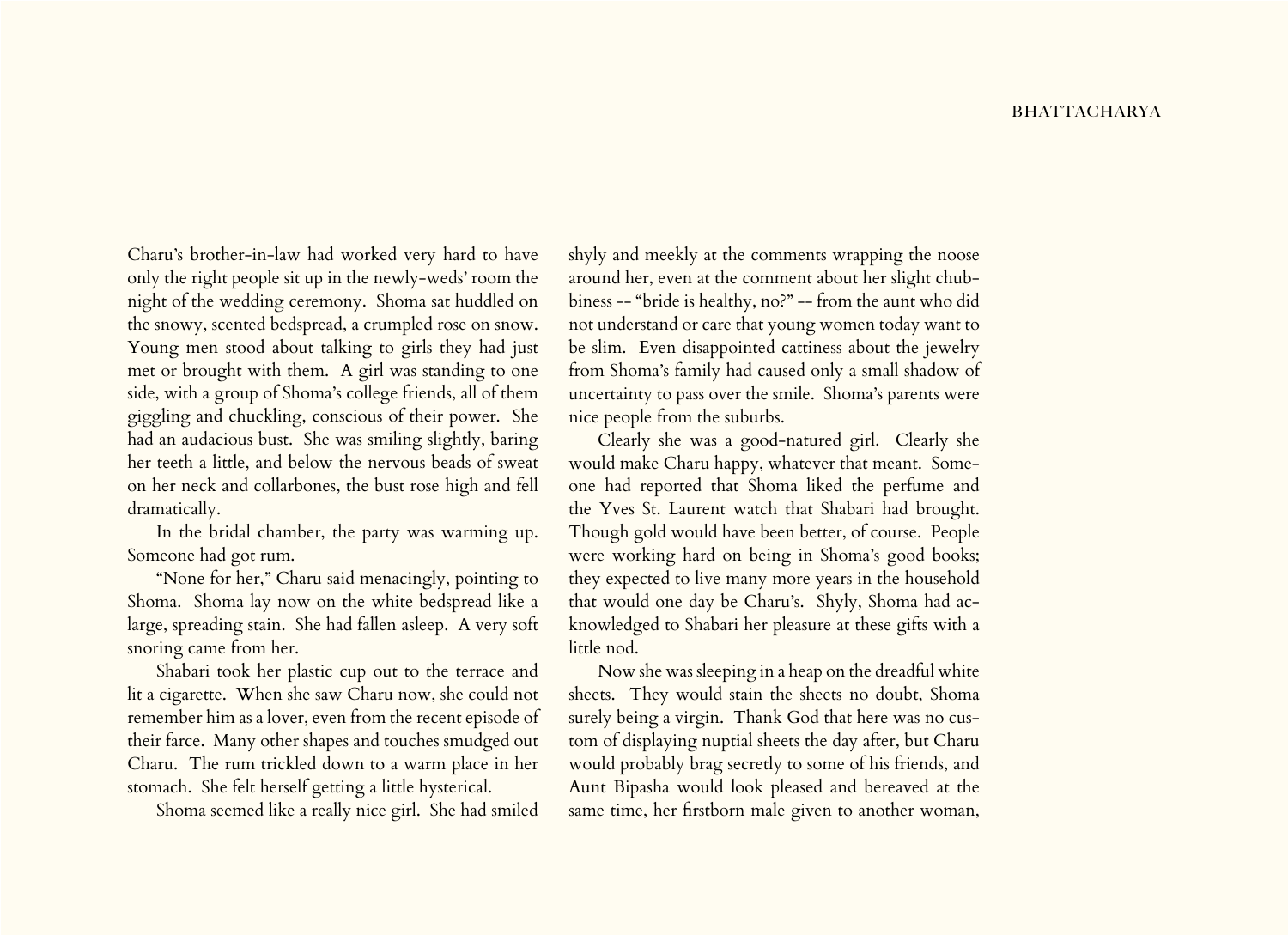## **BHATTACHARYA**

Charu's brother-in-law had worked very hard to have only the right people sit up in the newly-weds' room the night of the wedding ceremony. Shoma sat huddled on the snowy, scented bedspread, a crumpled rose on snow. Young men stood about talking to girls they had just met or brought with them. A girl was standing to one side, with a group of Shoma's college friends, all of them giggling and chuckling, conscious of their power. She had an audacious bust. She was smiling slightly, baring her teeth a little, and below the nervous beads of sweat on her neck and collarbones, the bust rose high and fell dramatically.

In the bridal chamber, the party was warming up. Someone had got rum.

"None for her," Charu said menacingly, pointing to Shoma. Shoma lay now on the white bedspread like a large, spreading stain. She had fallen asleep. A very soft snoring came from her.

Shabari took her plastic cup out to the terrace and lit a cigarette. When she saw Charu now, she could not remember him as a lover, even from the recent episode of their farce. Many other shapes and touches smudged out Charu. The rum trickled down to a warm place in her stomach. She felt herself getting a little hysterical.

Shoma seemed like a really nice girl. She had smiled

shyly and meekly at the comments wrapping the noose around her, even at the comment about her slight chubbiness -- "bride is healthy, no?" -- from the aunt who did not understand or care that young women today want to be slim. Even disappointed cattiness about the jewelry from Shoma's family had caused only a small shadow of uncertainty to pass over the smile. Shoma's parents were nice people from the suburbs.

Clearly she was a good-natured girl. Clearly she would make Charu happy, whatever that meant. Someone had reported that Shoma liked the perfume and the Yves St. Laurent watch that Shabari had brought. Though gold would have been better, of course. People were working hard on being in Shoma's good books; they expected to live many more years in the household that would one day be Charu's. Shyly, Shoma had acknowledged to Shabari her pleasure at these gifts with a little nod.

Now she was sleeping in a heap on the dreadful white sheets. They would stain the sheets no doubt, Shoma surely being a virgin. Thank God that here was no custom of displaying nuptial sheets the day after, but Charu would probably brag secretly to some of his friends, and Aunt Bipasha would look pleased and bereaved at the same time, her firstborn male given to another woman,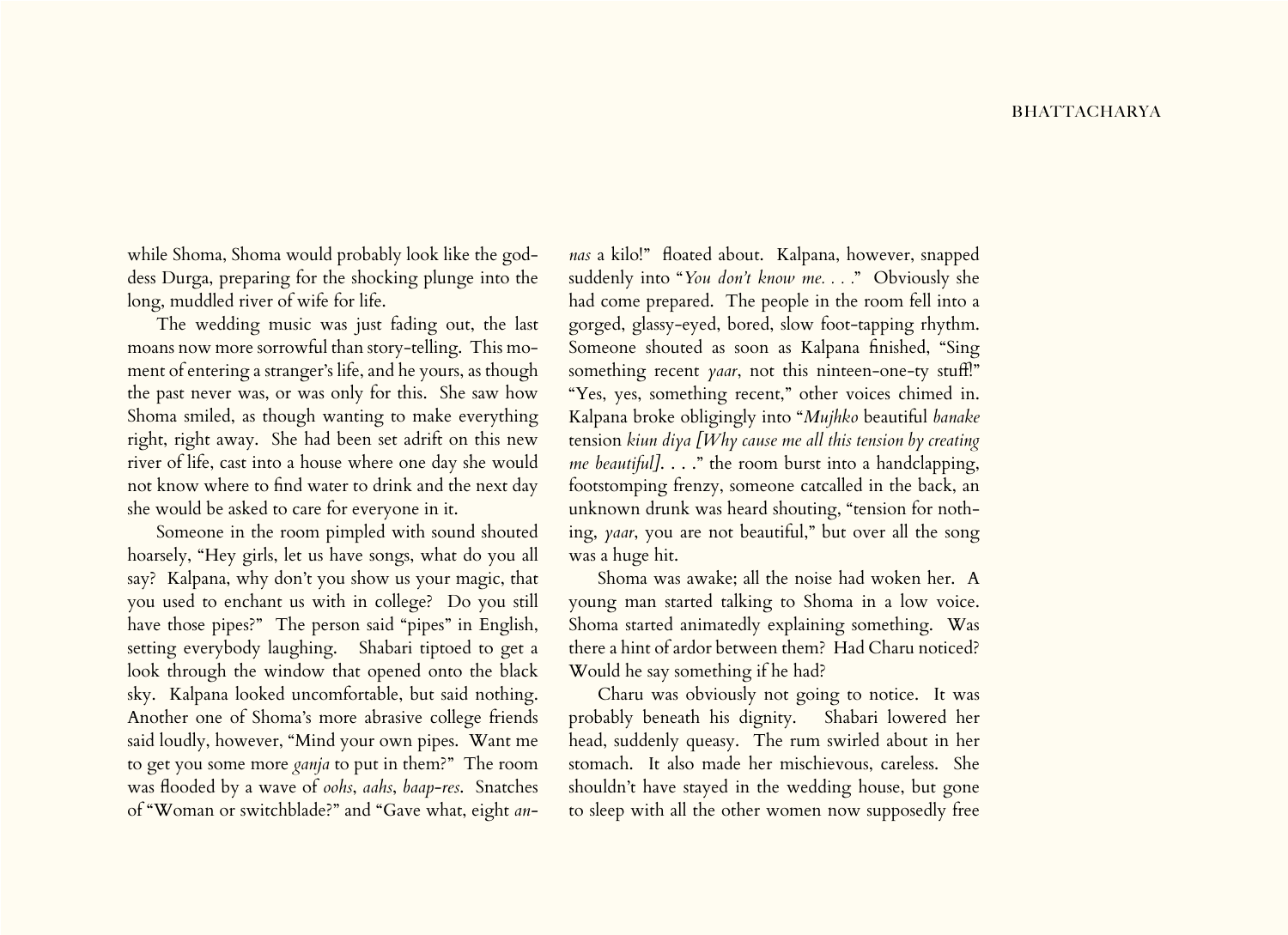while Shoma, Shoma would probably look like the goddess Durga, preparing for the shocking plunge into the long, muddled river of wife for life.

The wedding music was just fading out, the last moans now more sorrowful than story-telling. This moment of entering a stranger's life, and he yours, as though the past never was, or was only for this. She saw how Shoma smiled, as though wanting to make everything right, right away. She had been set adrift on this new river of life, cast into a house where one day she would not know where to find water to drink and the next day she would be asked to care for everyone in it.

Someone in the room pimpled with sound shouted hoarsely, "Hey girls, let us have songs, what do you all say? Kalpana, why don't you show us your magic, that you used to enchant us with in college? Do you still have those pipes?" The person said "pipes" in English, setting everybody laughing. Shabari tiptoed to get a look through the window that opened onto the black sky. Kalpana looked uncomfortable, but said nothing. Another one of Shoma's more abrasive college friends said loudly, however, "Mind your own pipes. Want me to get you some more *ganja* to put in them?" The room was flooded by a wave of *oohs*, *aahs*, *baap-res*. Snatches of "Woman or switchblade?" and "Gave what, eight *an-*

*nas* a kilo!" floated about. Kalpana, however, snapped suddenly into "*You don't know me. . . .*" Obviously she had come prepared. The people in the room fell into a gorged, glassy-eyed, bored, slow foot-tapping rhythm. Someone shouted as soon as Kalpana finished, "Sing something recent *yaar*, not this ninteen-one-ty stuff!" "Yes, yes, something recent," other voices chimed in. Kalpana broke obligingly into "*Mujhko* beautiful *banake*  tension *kiun diya [Why cause me all this tension by creating me beautiful].* . . ." the room burst into a handclapping, footstomping frenzy, someone catcalled in the back, an unknown drunk was heard shouting, "tension for nothing, *yaar*, you are not beautiful," but over all the song was a huge hit.

Shoma was awake; all the noise had woken her. A young man started talking to Shoma in a low voice. Shoma started animatedly explaining something. Was there a hint of ardor between them? Had Charu noticed? Would he say something if he had?

Charu was obviously not going to notice. It was probably beneath his dignity. Shabari lowered her head, suddenly queasy. The rum swirled about in her stomach. It also made her mischievous, careless. She shouldn't have stayed in the wedding house, but gone to sleep with all the other women now supposedly free